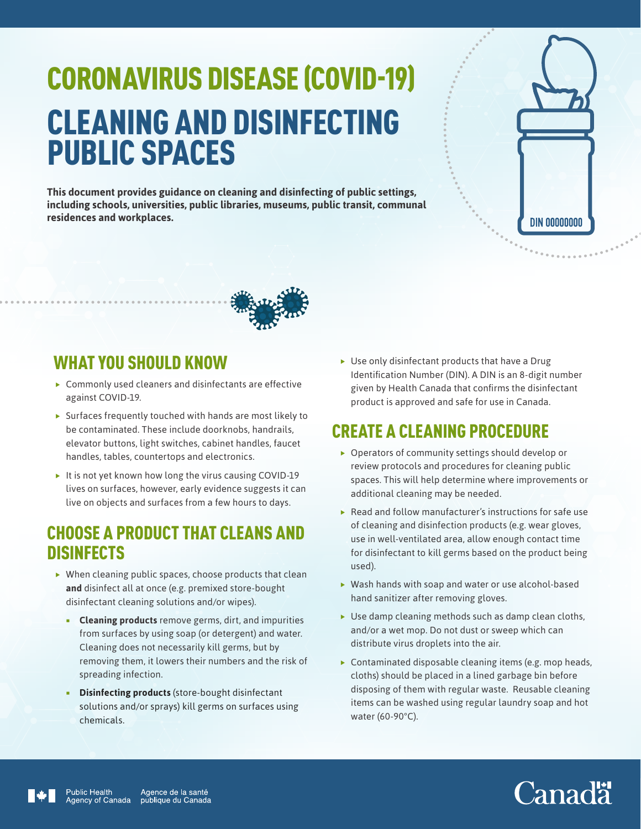# CORONAVIRUS DISEASE (COVID-19) CLEANING AND DISINFECTING PUBLIC SPACES

**This document provides guidance on cleaning and disinfecting of public settings, including schools, universities, public libraries, museums, public transit, communal residences and workplaces.**





### WHAT YOU SHOULD KNOW

- $\blacktriangleright$  Commonly used cleaners and disinfectants are effective against COVID-19.
- $\triangleright$  Surfaces frequently touched with hands are most likely to be contaminated. These include doorknobs, handrails, elevator buttons, light switches, cabinet handles, faucet handles, tables, countertops and electronics.
- It is not yet known how long the virus causing COVID-19 lives on surfaces, however, early evidence suggests it can live on objects and surfaces from a few hours to days.

#### CHOOSE A PRODUCT THAT CLEANS AND **DISINFECTS**

- $\triangleright$  When cleaning public spaces, choose products that clean **and** disinfect all at once (e.g. premixed store-bought disinfectant cleaning solutions and/or wipes).
	- **Cleaning products** remove germs, dirt, and impurities from surfaces by using soap (or detergent) and water. Cleaning does not necessarily kill germs, but by removing them, it lowers their numbers and the risk of spreading infection.
	- **Disinfecting products** (store-bought disinfectant solutions and/or sprays) kill germs on surfaces using chemicals.

 $\blacktriangleright$  Use only disinfectant products that have a Drug Identification Number (DIN). A DIN is an 8-digit number given by Health Canada that confirms the disinfectant product is approved and safe for use in Canada.

## CREATE A CLEANING PROCEDURE

- $\triangleright$  Operators of community settings should develop or review protocols and procedures for cleaning public spaces. This will help determine where improvements or additional cleaning may be needed.
- $\blacktriangleright$  Read and follow manufacturer's instructions for safe use of cleaning and disinfection products (e.g. wear gloves, use in well-ventilated area, allow enough contact time for disinfectant to kill germs based on the product being used).
- $\blacktriangleright$  Wash hands with soap and water or use alcohol-based hand sanitizer after removing gloves.
- $\blacktriangleright$  Use damp cleaning methods such as damp clean cloths, and/or a wet mop. Do not dust or sweep which can distribute virus droplets into the air.
- $\triangleright$  Contaminated disposable cleaning items (e.g. mop heads, cloths) should be placed in a lined garbage bin before disposing of them with regular waste. Reusable cleaning items can be washed using regular laundry soap and hot water (60-90°C).